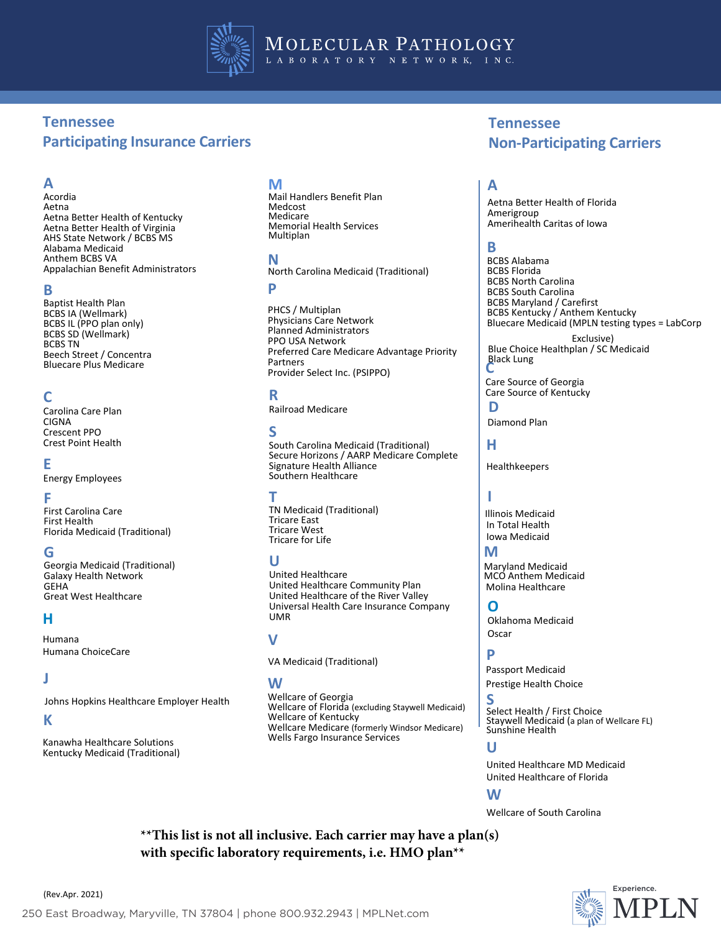

MOLECULAR PATHOLOGY LABORATORY NETWORK, INC.

# **Tennessee Participating Insurance Carriers**

# **A**

Acordia Aetna Aetna Better Health of Kentucky Aetna Better Health of Virginia AHS State Network / BCBS MS Alabama Medicaid Anthem BCBS VA Appalachian Benefit Administrators

#### **B**

Baptist Health Plan BCBS IA (Wellmark) BCBS IL (PPO plan only) BCBS SD (Wellmark) BCBS TN Beech Street / Concentra Bluecare Plus Medicare

### **C**

Carolina Care Plan CIGNA Crescent PPO Crest Point Health

### **E**

Energy Employees

### **F**

First Carolina Care First Health Florida Medicaid (Traditional)

### **G**

Georgia Medicaid (Traditional) Galaxy Health Network GEHA Great West Healthcare

### **H**

Humana Humana ChoiceCare

### **J**

Johns Hopkins Healthcare Employer Health

### **K**

Kanawha Healthcare Solutions Kentucky Medicaid (Traditional)

### **M**

Mail Handlers Benefit Plan Medcost Medicare Memorial Health Services Multiplan

### **N**

North Carolina Medicaid (Traditional) **P**

PHCS / Multiplan Physicians Care Network Planned Administrators PPO USA Network Preferred Care Medicare Advantage Priority Partners Provider Select Inc. (PSIPPO)

### **R**

Railroad Medicare

### **S**

South Carolina Medicaid (Traditional) Secure Horizons / AARP Medicare Complete Signature Health Alliance Southern Healthcare

### **T**

TN Medicaid (Traditional) Tricare East Tricare West Tricare for Life

### **U**

United Healthcare United Healthcare Community Plan United Healthcare of the River Valley Universal Health Care Insurance Company UMR

### **V**

VA Medicaid (Traditional)

### **W**

Wellcare of Georgia Wellcare of Florida (excluding Staywell Medicaid) Wellcare of Kentucky Wellcare Medicare (formerly Windsor Medicare) Wells Fargo Insurance Services

# **Tennessee Non-Participating Carriers**

### **A**

Aetna Better Health of Florida Amerigroup Amerihealth Caritas of Iowa

### **B**

BCBS Alabama BCBS Florida BCBS North Carolina BCBS South Carolina BCBS Maryland / Carefirst BCBS Kentucky / Anthem Kentucky Bluecare Medicaid (MPLN testing types = LabCorp Exclusive)

Blue Choice Healthplan / SC Medicaid **Black Lung** 

Care Source of Georgia Care Source of Kentucky

**D** Diamond Plan

**H**

Healthkeepers

# **I**

Iowa Medicaid In Total Health Illinois Medicaid

### **M**

Maryland Medicaid MCO Anthem Medicaid Molina Healthcare

**O** Oklahoma Medicaid **Oscar** 

# **P**

Passport Medicaid Prestige Health Choice

**S** Select Health / First Choice Staywell Medicaid (a plan of Wellcare FL) Sunshine Health

## **U**

United Healthcare MD Medicaid United Healthcare of Florida

#### **W**

Wellcare of South Carolina

**\*\*This list is not all inclusive. Each carrier may have a plan(s) with specific laboratory requirements, i.e. HMO plan\*\***